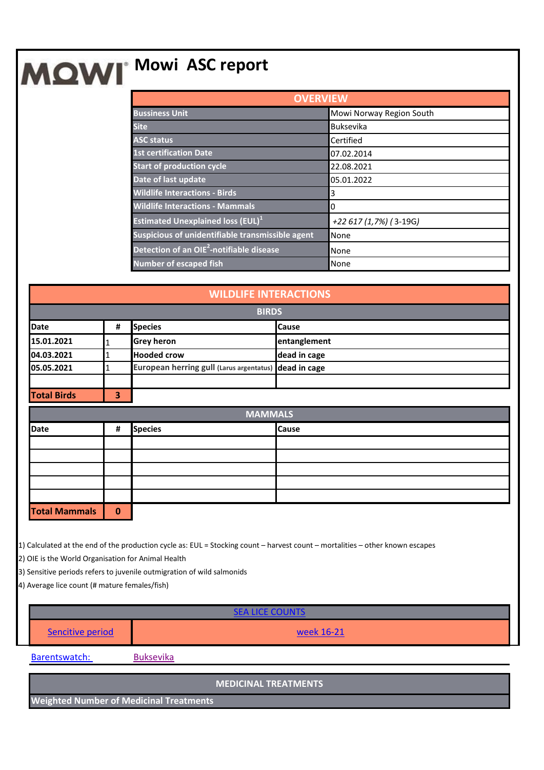## **MOWI** Mowi ASC report

| <b>OVERVIEW</b>                                      |                          |  |  |
|------------------------------------------------------|--------------------------|--|--|
| <b>Bussiness Unit</b>                                | Mowi Norway Region South |  |  |
| <b>Site</b>                                          | <b>Buksevika</b>         |  |  |
| <b>ASC status</b>                                    | Certified                |  |  |
| <b>1st certification Date</b>                        | 07.02.2014               |  |  |
| <b>Start of production cycle</b>                     | 22.08.2021               |  |  |
| Date of last update                                  | 05.01.2022               |  |  |
| <b>Wildlife Interactions - Birds</b>                 | 3                        |  |  |
| <b>Wildlife Interactions - Mammals</b>               | 0                        |  |  |
| <b>Estimated Unexplained loss (EUL)</b> <sup>1</sup> | +22 617 (1,7%) (3-19G)   |  |  |
| Suspicious of unidentifiable transmissible agent     | None                     |  |  |
| Detection of an OIE <sup>2</sup> -notifiable disease | None                     |  |  |
| <b>Number of escaped fish</b>                        | None                     |  |  |

| <b>WILDLIFE INTERACTIONS</b> |          |                                                       |              |  |
|------------------------------|----------|-------------------------------------------------------|--------------|--|
| <b>BIRDS</b>                 |          |                                                       |              |  |
| <b>Date</b>                  | #        | <b>Species</b>                                        | <b>Cause</b> |  |
| 15.01.2021                   | 1        | <b>Grey heron</b>                                     | entanglement |  |
| 04.03.2021                   | 1        | <b>Hooded crow</b>                                    | dead in cage |  |
| 05.05.2021                   | 1        | European herring gull (Larus argentatus) dead in cage |              |  |
|                              |          |                                                       |              |  |
| <b>Total Birds</b>           | 3        |                                                       |              |  |
| <b>MAMMALS</b>               |          |                                                       |              |  |
| <b>Date</b>                  | #        | <b>Species</b>                                        | <b>Cause</b> |  |
|                              |          |                                                       |              |  |
|                              |          |                                                       |              |  |
|                              |          |                                                       |              |  |
|                              |          |                                                       |              |  |
|                              |          |                                                       |              |  |
| <b>Total Mammals</b>         | $\bf{0}$ |                                                       |              |  |

1) Calculated at the end of the production cycle as: EUL = Stocking count – harvest count – mortalities – other known escapes

2) OIE is the World Organisation for Animal Health

3) Sensitive periods refers to juvenile outmigration of wild salmonids

4) Average lice count (# mature females/fish)

| - COUNIS<br>SFAIR F |            |  |  |
|---------------------|------------|--|--|
| Sencitive period    | week 16-21 |  |  |
|                     |            |  |  |

Barentswatch: [Buksevika](https://www.barentswatch.no/fiskehelse/locality/11857)

**MEDICINAL TREATMENTS**

**Weighted Number of Medicinal Treatments**